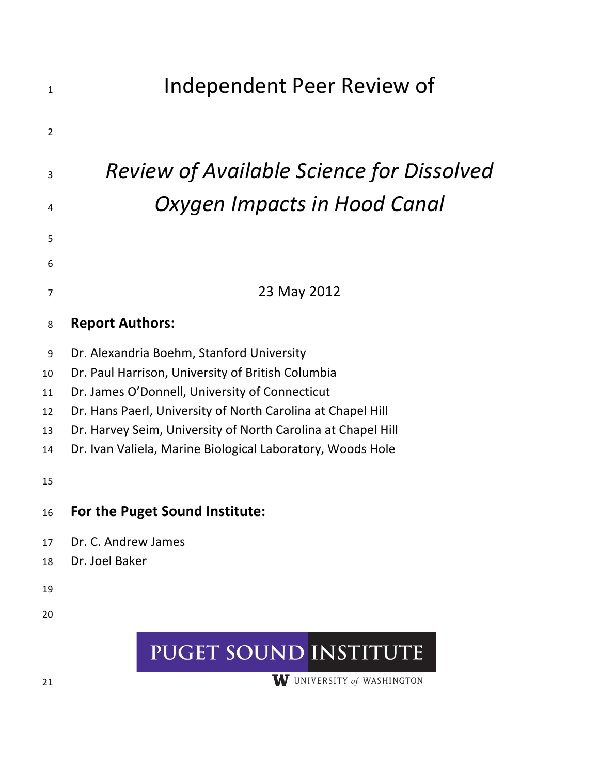# 1 **Independent Peer Review of** 2 <sup>3</sup> *Review&of&Available&Science&for&Dissolved&* <sup>4</sup> Oxygen Impacts in Hood Canal 5 6 <sup>7</sup> 23 May!2012 8 **Report Authors:** 9 Dr. Alexandria Boehm, Stanford University 10 Dr. Paul Harrison, University of British Columbia 11 Dr. James O'Donnell, University of Connecticut 12 Dr. Hans Paerl, University of North Carolina at Chapel Hill 13 Dr. Harvey Seim, University of North Carolina at Chapel Hill 14 Dr. Ivan Valiela, Marine Biological Laboratory, Woods Hole 15 16 **For the Puget Sound Institute:** 17 Dr. C. Andrew James 18 Dr. Joel Baker 19 20 PUGET SOUND INSTITUTE

W UNIVERSITY of WASHINGTON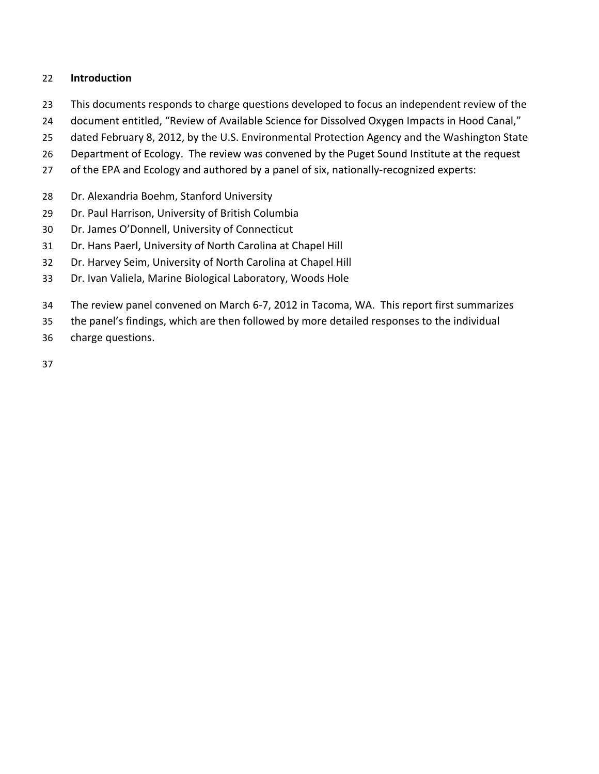#### 22 **Introduction**

- 23 This documents responds to charge questions developed to focus an independent review of the
- 24 document entitled, "Review of Available Science for Dissolved Oxygen Impacts in Hood Canal,"
- 25 dated February 8, 2012, by the U.S. Environmental Protection Agency and the Washington State
- 26 Department of Ecology. The review was convened by the Puget Sound Institute at the request
- 27 of the EPA and Ecology and authored by a panel of six, nationally-recognized experts:
- 28 Dr. Alexandria Boehm, Stanford University
- 29 Dr. Paul Harrison, University of British Columbia
- 30 Dr. James O'Donnell, University of Connecticut
- 31 Dr. Hans Paerl, University of North Carolina at Chapel Hill
- 32 Dr. Harvey Seim, University of North Carolina at Chapel Hill
- 33 Dr. Ivan Valiela, Marine Biological Laboratory, Woods Hole
- 34 The review panel convened on March 6-7, 2012 in Tacoma, WA. This report first summarizes
- 35 the panel's findings, which are then followed by more detailed responses to the individual
- 36 charge questions.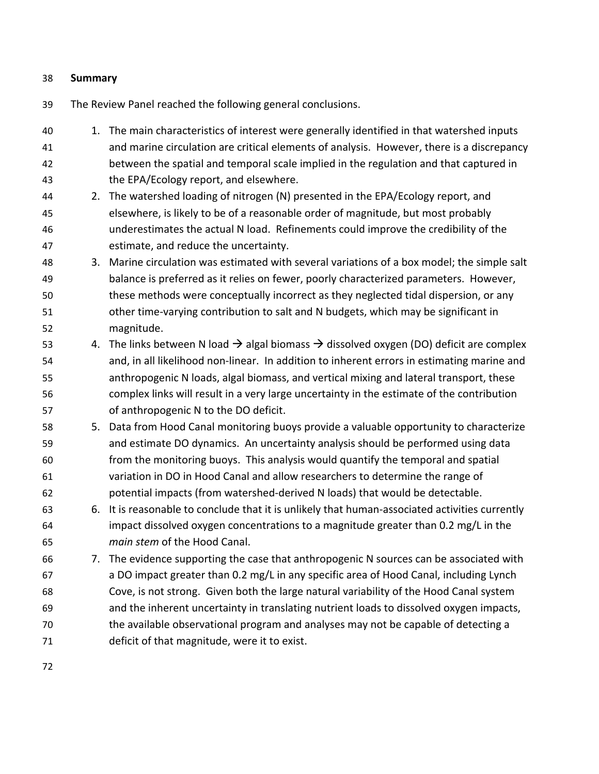#### 38 **Summary**

- 39 The Review Panel reached the following general conclusions.
- 40 1. The main characteristics of interest were generally identified in that watershed inputs 41 and marine circulation are critical elements of analysis. However, there is a discrepancy 42 between the spatial and temporal scale implied in the regulation and that captured in 43 the EPA/Ecology report, and elsewhere. 44 2. The watershed loading of nitrogen (N) presented in the EPA/Ecology report, and 45 elsewhere, is likely to be of a reasonable order of magnitude, but most probably 46 underestimates the actual N load. Refinements could improve the credibility of the 47 estimate, and reduce the uncertainty. 48 3. Marine circulation was estimated with several variations of a box model; the simple salt 49 balance is preferred as it relies on fewer, poorly characterized parameters. However, 50 these methods were conceptually incorrect as they neglected tidal dispersion, or any 51 other time-varying contribution to salt and N budgets, which may be significant in 52 magnitude. 53 4. The links between N load  $\rightarrow$  algal biomass  $\rightarrow$  dissolved oxygen (DO) deficit are complex 54 and, in all likelihood non-linear. In addition to inherent errors in estimating marine and 55 anthropogenic N loads, algal biomass, and vertical mixing and lateral transport, these
- 56 complex links will result in a very large uncertainty in the estimate of the contribution 57 of anthropogenic N to the DO deficit.
- 58 58 5. Data from Hood Canal monitoring buoys provide a valuable opportunity to characterize 59 and estimate DO dynamics. An uncertainty analysis should be performed using data 60 from the monitoring buoys. This analysis would quantify the temporal and spatial 61 variation in DO in Hood Canal and allow researchers to determine the range of 62 botential impacts (from watershed-derived N loads) that would be detectable.
- 63 6. It is reasonable to conclude that it is unlikely that human-associated activities currently 64 impact dissolved oxygen concentrations to a magnitude greater than  $0.2$  mg/L in the 65 **main stem of the Hood Canal.**
- 66 7. The evidence supporting the case that anthropogenic N sources can be associated with 67 a DO impact greater than 0.2 mg/L in any specific area of Hood Canal, including Lynch 68 Cove, is not strong. Given both the large natural variability of the Hood Canal system 69 and the inherent uncertainty in translating nutrient loads to dissolved oxygen impacts, 70 the available observational program and analyses may not be capable of detecting a 71 deficit of that magnitude, were it to exist.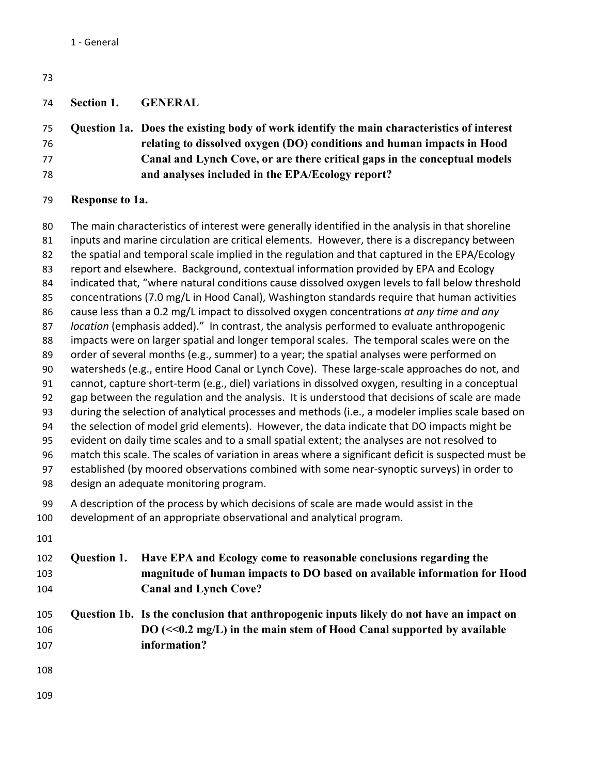| 73 |                        |                                                                                                   |
|----|------------------------|---------------------------------------------------------------------------------------------------|
| 74 | Section 1.             | <b>GENERAL</b>                                                                                    |
| 75 |                        | Question 1a. Does the existing body of work identify the main characteristics of interest         |
| 76 |                        | relating to dissolved oxygen (DO) conditions and human impacts in Hood                            |
| 77 |                        | Canal and Lynch Cove, or are there critical gaps in the conceptual models                         |
| 78 |                        | and analyses included in the EPA/Ecology report?                                                  |
| 79 | <b>Response to 1a.</b> |                                                                                                   |
| 80 |                        | The main characteristics of interest were generally identified in the analysis in that shoreline  |
| 81 |                        | inputs and marine circulation are critical elements. However, there is a discrepancy between      |
| 82 |                        | the spatial and temporal scale implied in the regulation and that captured in the EPA/Ecology     |
| 83 |                        | report and elsewhere. Background, contextual information provided by EPA and Ecology              |
| 84 |                        | indicated that, "where natural conditions cause dissolved oxygen levels to fall below threshold   |
| 85 |                        | concentrations (7.0 mg/L in Hood Canal), Washington standards require that human activities       |
| 86 |                        | cause less than a 0.2 mg/L impact to dissolved oxygen concentrations at any time and any          |
| 87 |                        | location (emphasis added)." In contrast, the analysis performed to evaluate anthropogenic         |
| 88 |                        | impacts were on larger spatial and longer temporal scales. The temporal scales were on the        |
| 89 |                        | order of several months (e.g., summer) to a year; the spatial analyses were performed on          |
| 90 |                        | watersheds (e.g., entire Hood Canal or Lynch Cove). These large-scale approaches do not, and      |
| 91 |                        | cannot, capture short-term (e.g., diel) variations in dissolved oxygen, resulting in a conceptual |

- 92 gap between the regulation and the analysis. It is understood that decisions of scale are made 93 during the selection of analytical processes and methods (i.e., a modeler implies scale based on
- 94 the selection of model grid elements). However, the data indicate that DO impacts might be
- 95 evident on daily time scales and to a small spatial extent; the analyses are not resolved to
- 96 match this scale. The scales of variation in areas where a significant deficit is suspected must be 97 established (by moored observations combined with some near-synoptic surveys) in order to
- 98 design an adequate monitoring program.
- 99 A description of the process by which decisions of scale are made would assist in the
- 100 development of an appropriate observational and analytical program.
- 
- **Question 1. Have EPA and Ecology come to reasonable conclusions regarding the magnitude of human impacts to DO based on available information for Hood Canal and Lynch Cove?**
- **Question 1b. Is the conclusion that anthropogenic inputs likely do not have an impact on DO (<<0.2 mg/L) in the main stem of Hood Canal supported by available information?**
- 
-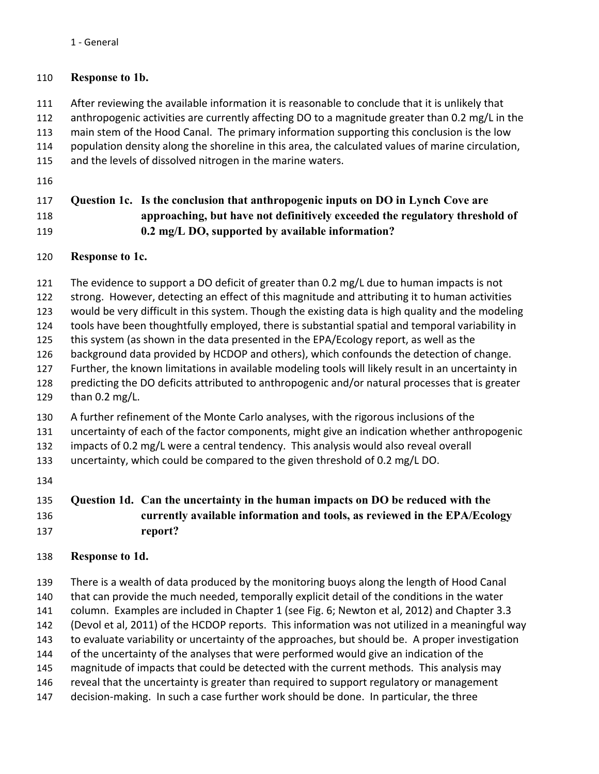#### 1 - General

### 110 **Response to 1b.**

- 111 After reviewing the available information it is reasonable to conclude that it is unlikely that
- 112 anthropogenic activities are currently affecting DO to a magnitude greater than  $0.2$  mg/L in the
- 113 main stem of the Hood Canal. The primary information supporting this conclusion is the low
- 114 population density along the shoreline in this area, the calculated values of marine circulation,
- 115 and the levels of dissolved nitrogen in the marine waters.
- 116

# 117 **Question 1c. Is the conclusion that anthropogenic inputs on DO in Lynch Cove are**  118 **approaching, but have not definitively exceeded the regulatory threshold of**  119 **0.2 mg/L DO, supported by available information?**

## 120 **Response to 1c.**

- 121 The evidence to support a DO deficit of greater than 0.2 mg/L due to human impacts is not
- 122 strong. However, detecting an effect of this magnitude and attributing it to human activities
- 123 would be very difficult in this system. Though the existing data is high quality and the modeling
- 124 tools have been thoughtfully employed, there is substantial spatial and temporal variability in
- 125 this system (as shown in the data presented in the EPA/Ecology report, as well as the
- 126 background data provided by HCDOP and others), which confounds the detection of change.
- 127 Further, the known limitations in available modeling tools will likely result in an uncertainty in
- 128 predicting the DO deficits attributed to anthropogenic and/or natural processes that is greater
- 129 than 0.2 mg/L.
- 130 A further refinement of the Monte Carlo analyses, with the rigorous inclusions of the
- 131 uncertainty of each of the factor components, might give an indication whether anthropogenic
- 132 impacts of 0.2 mg/L were a central tendency. This analysis would also reveal overall
- 133 uncertainty, which could be compared to the given threshold of 0.2 mg/L DO.
- 134

# 135 **Question 1d. Can the uncertainty in the human impacts on DO be reduced with the**  136 **currently available information and tools, as reviewed in the EPA/Ecology**  137 **report?**

# 138 **Response to 1d.**

139 There is a wealth of data produced by the monitoring buoys along the length of Hood Canal 140 that can provide the much needed, temporally explicit detail of the conditions in the water 141 column. Examples are included in Chapter 1 (see Fig. 6; Newton et al, 2012) and Chapter 3.3 142 (Devol et al, 2011) of the HCDOP reports. This information was not utilized in a meaningful way 143 to evaluate variability or uncertainty of the approaches, but should be. A proper investigation 144 of the uncertainty of the analyses that were performed would give an indication of the 145 magnitude of impacts that could be detected with the current methods. This analysis may 146 reveal that the uncertainty is greater than required to support regulatory or management 147 decision-making. In such a case further work should be done. In particular, the three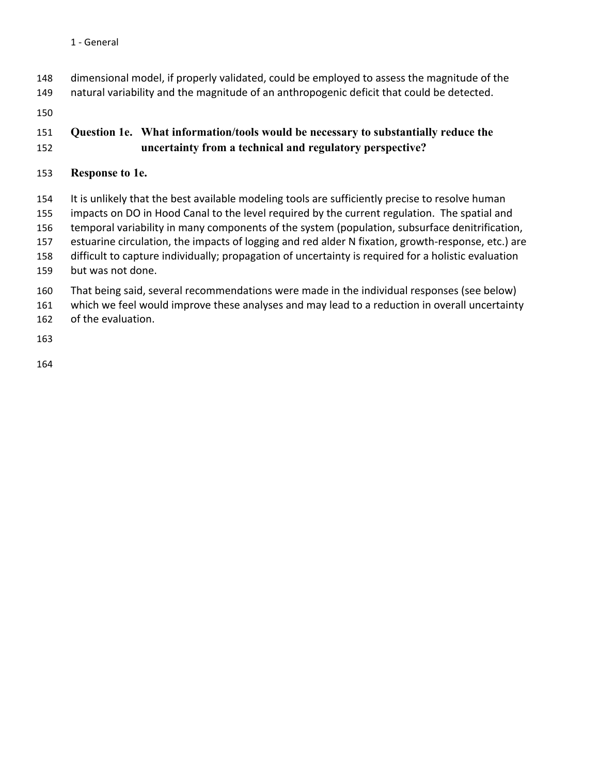- 148 dimensional model, if properly validated, could be employed to assess the magnitude of the
- 149 natural variability and the magnitude of an anthropogenic deficit that could be detected.

150

# 151 **Question 1e. What information/tools would be necessary to substantially reduce the**  152 **uncertainty from a technical and regulatory perspective?**

# 153 **Response to 1e.**

154 It is unlikely that the best available modeling tools are sufficiently precise to resolve human 155 impacts on DO in Hood Canal to the level required by the current regulation. The spatial and 156 temporal variability in many components of the system (population, subsurface denitrification, 157 estuarine circulation, the impacts of logging and red alder N fixation, growth-response, etc.) are 158 difficult to capture individually; propagation of uncertainty is required for a holistic evaluation 159 but was not done.

- 160 That being said, several recommendations were made in the individual responses (see below)
- 161 which we feel would improve these analyses and may lead to a reduction in overall uncertainty 162 of the evaluation.

163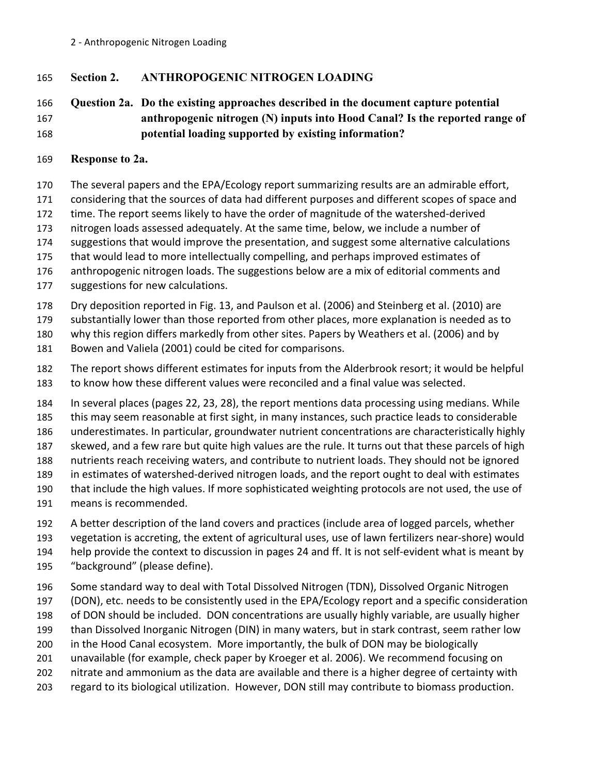165 **Section 2. ANTHROPOGENIC NITROGEN LOADING**

# 166 **Question 2a. Do the existing approaches described in the document capture potential**  167 **anthropogenic nitrogen (N) inputs into Hood Canal? Is the reported range of**  168 **potential loading supported by existing information?**

169 **Response to 2a.**

170 The several papers and the EPA/Ecology report summarizing results are an admirable effort,

171 considering that the sources of data had different purposes and different scopes of space and

172 time. The report seems likely to have the order of magnitude of the watershed-derived

173 nitrogen loads assessed adequately. At the same time, below, we include a number of

174 suggestions that would improve the presentation, and suggest some alternative calculations

175 that would lead to more intellectually compelling, and perhaps improved estimates of

176 anthropogenic nitrogen loads. The suggestions below are a mix of editorial comments and

177 suggestions for new calculations.

178 Dry deposition reported in Fig. 13, and Paulson et al. (2006) and Steinberg et al. (2010) are

179 substantially lower than those reported from other places, more explanation is needed as to

180 why this region differs markedly from other sites. Papers by Weathers et al. (2006) and by

181 Bowen and Valiela (2001) could be cited for comparisons.

182 The report shows different estimates for inputs from the Alderbrook resort; it would be helpful 183 to know how these different values were reconciled and a final value was selected.

184 In several places (pages 22, 23, 28), the report mentions data processing using medians. While 185 this may seem reasonable at first sight, in many instances, such practice leads to considerable 186 underestimates. In particular, groundwater nutrient concentrations are characteristically highly 187 skewed, and a few rare but quite high values are the rule. It turns out that these parcels of high 188 nutrients reach receiving waters, and contribute to nutrient loads. They should not be ignored 189 in estimates of watershed-derived nitrogen loads, and the report ought to deal with estimates 190 that include the high values. If more sophisticated weighting protocols are not used, the use of

191 means is recommended.

192 A better description of the land covers and practices (include area of logged parcels, whether

193 vegetation is accreting, the extent of agricultural uses, use of lawn fertilizers near-shore) would

194 help provide the context to discussion in pages 24 and ff. It is not self-evident what is meant by

- 195 "background" (please define).
- 196 Some standard way to deal with Total Dissolved Nitrogen (TDN), Dissolved Organic Nitrogen

197 (DON), etc. needs to be consistently used in the EPA/Ecology report and a specific consideration

198 of DON should be included. DON concentrations are usually highly variable, are usually higher

199 than Dissolved Inorganic Nitrogen (DIN) in many waters, but in stark contrast, seem rather low

200 in the Hood Canal ecosystem. More importantly, the bulk of DON may be biologically

201 unavailable (for example, check paper by Kroeger et al. 2006). We recommend focusing on

202 nitrate and ammonium as the data are available and there is a higher degree of certainty with

203 regard to its biological utilization. However, DON still may contribute to biomass production.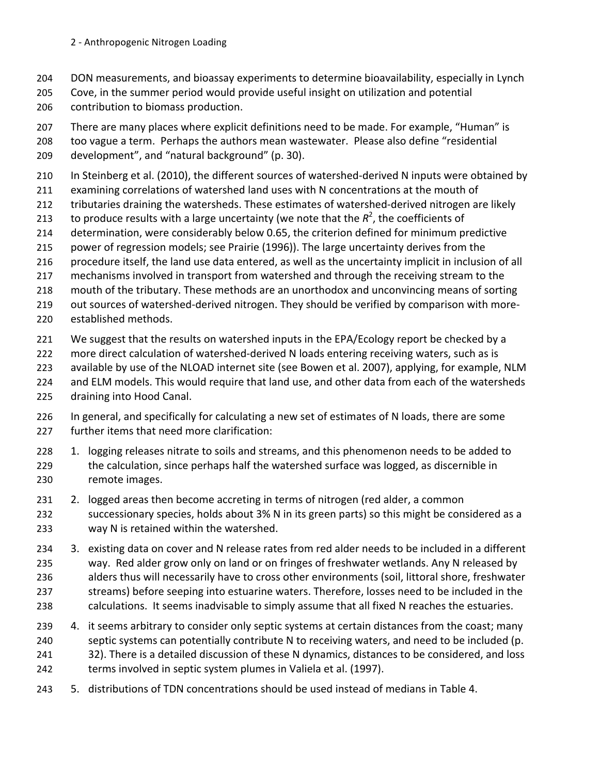- 204 DON measurements, and bioassay experiments to determine bioavailability, especially in Lynch
- 205 Cove, in the summer period would provide useful insight on utilization and potential 206 contribution to biomass production.
- 207 There are many places where explicit definitions need to be made. For example, "Human" is
- 208 too vague a term. Perhaps the authors mean wastewater. Please also define "residential"
- 209 development", and "natural background" (p. 30).
- 210 In Steinberg et al. (2010), the different sources of watershed-derived N inputs were obtained by
- 211 examining correlations of watershed land uses with N concentrations at the mouth of
- 212 tributaries draining the watersheds. These estimates of watershed-derived nitrogen are likely
- 213 to produce results with a large uncertainty (we note that the  $R^2$ , the coefficients of
- 214 determination, were considerably below 0.65, the criterion defined for minimum predictive
- 215 power of regression models; see Prairie (1996)). The large uncertainty derives from the
- 216 procedure itself, the land use data entered, as well as the uncertainty implicit in inclusion of all
- 217 mechanisms involved in transport from watershed and through the receiving stream to the
- 218 mouth of the tributary. These methods are an unorthodox and unconvincing means of sorting
- 219 out sources of watershed-derived nitrogen. They should be verified by comparison with more-
- 220 established methods.
- 221 We suggest that the results on watershed inputs in the EPA/Ecology report be checked by a
- 222 more direct calculation of watershed-derived N loads entering receiving waters, such as is
- 223 available by use of the NLOAD internet site (see Bowen et al. 2007), applying, for example, NLM
- 224 and ELM models. This would require that land use, and other data from each of the watersheds
- 225 draining into Hood Canal.
- 226 In general, and specifically for calculating a new set of estimates of N loads, there are some 227 further items that need more clarification:
- 228 1. logging releases nitrate to soils and streams, and this phenomenon needs to be added to 229 the calculation, since perhaps half the watershed surface was logged, as discernible in 230 remote images.
- 231 2. logged areas then become accreting in terms of nitrogen (red alder, a common
- 232 successionary species, holds about 3% N in its green parts) so this might be considered as a 233 way N is retained within the watershed.
- 234 3. existing data on cover and N release rates from red alder needs to be included in a different 235 way. Red alder grow only on land or on fringes of freshwater wetlands. Any N released by 236 alders thus will necessarily have to cross other environments (soil, littoral shore, freshwater 237 streams) before seeping into estuarine waters. Therefore, losses need to be included in the 238 calculations. It seems inadvisable to simply assume that all fixed N reaches the estuaries.
- 239 4. it seems arbitrary to consider only septic systems at certain distances from the coast; many 240 septic systems can potentially contribute N to receiving waters, and need to be included (p. 241 32). There is a detailed discussion of these N dynamics, distances to be considered, and loss
- 242 terms involved in septic system plumes in Valiela et al. (1997).
- 243 5. distributions of TDN concentrations should be used instead of medians in Table 4.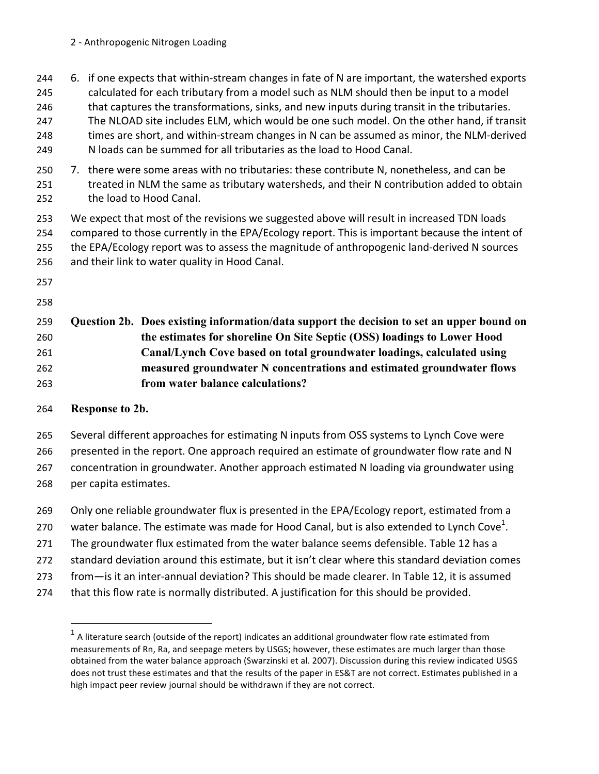244 6. if one expects that within-stream changes in fate of N are important, the watershed exports

- 245 calculated for each tributary from a model such as NLM should then be input to a model
- 246 that captures the transformations, sinks, and new inputs during transit in the tributaries.
- 247 The NLOAD site includes ELM, which would be one such model. On the other hand, if transit 248 times are short, and within-stream changes in N can be assumed as minor, the NLM-derived 249 N loads can be summed for all tributaries as the load to Hood Canal.
- 250 7. there were some areas with no tributaries: these contribute N, nonetheless, and can be 251 treated in NLM the same as tributary watersheds, and their N contribution added to obtain 252 the load to Hood Canal.
- 253 We expect that most of the revisions we suggested above will result in increased TDN loads 254 compared to those currently in the EPA/Ecology report. This is important because the intent of 255 the EPA/Ecology report was to assess the magnitude of anthropogenic land-derived N sources 256 and their link to water quality in Hood Canal.
- 257
- 258

# 259 **Question 2b. Does existing information/data support the decision to set an upper bound on**  260 **the estimates for shoreline On Site Septic (OSS) loadings to Lower Hood**  261 **Canal/Lynch Cove based on total groundwater loadings, calculated using**  262 **measured groundwater N concentrations and estimated groundwater flows**  263 **from water balance calculations?**

# 264 **Response to 2b.**

!!!!!!!!!!!!!!!!!!!!!!!!!!!!!!!!!!!!!!!!!!!!!!!!!!!!!!!!!!!!

265 Several different approaches for estimating N inputs from OSS systems to Lynch Cove were

266 presented in the report. One approach required an estimate of groundwater flow rate and N

267 concentration in groundwater. Another approach estimated N loading via groundwater using 268 per capita estimates.

- 269 Only one reliable groundwater flux is presented in the EPA/Ecology report, estimated from a
- 270 water balance. The estimate was made for Hood Canal, but is also extended to Lynch Cove<sup>1</sup>.
- 271 The groundwater flux estimated from the water balance seems defensible. Table 12 has a
- 272 standard deviation around this estimate, but it isn't clear where this standard deviation comes
- 273 from—is it an inter-annual deviation? This should be made clearer. In Table 12, it is assumed
- 274 that this flow rate is normally distributed. A justification for this should be provided.

 $1$  A literature search (outside of the report) indicates an additional groundwater flow rate estimated from measurements of Rn, Ra, and seepage meters by USGS; however, these estimates are much larger than those obtained from the water balance approach (Swarzinski et al. 2007). Discussion during this review indicated USGS does not trust these estimates and that the results of the paper in ES&T are not correct. Estimates published in a high impact peer review journal should be withdrawn if they are not correct.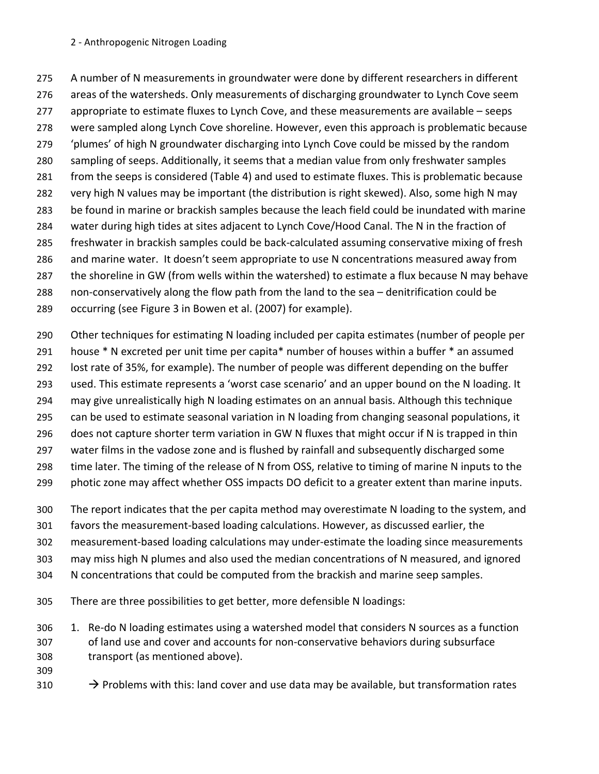#### 2 - Anthropogenic Nitrogen Loading

275 A number of N measurements in groundwater were done by different researchers in different 276 areas of the watersheds. Only measurements of discharging groundwater to Lynch Cove seem 277 appropriate to estimate fluxes to Lynch Cove, and these measurements are available – seeps 278 were sampled along Lynch Cove shoreline. However, even this approach is problematic because 279 'plumes' of high N groundwater discharging into Lynch Cove could be missed by the random 280 sampling of seeps. Additionally, it seems that a median value from only freshwater samples 281 from the seeps is considered (Table 4) and used to estimate fluxes. This is problematic because 282 very high N values may be important (the distribution is right skewed). Also, some high N may 283 be found in marine or brackish samples because the leach field could be inundated with marine 284 water during high tides at sites adjacent to Lynch Cove/Hood Canal. The N in the fraction of 285 freshwater in brackish samples could be back-calculated assuming conservative mixing of fresh 286 and marine water. It doesn't seem appropriate to use N concentrations measured away from 287 the shoreline in GW (from wells within the watershed) to estimate a flux because N may behave 288 non-conservatively along the flow path from the land to the sea – denitrification could be 289 occurring (see Figure 3 in Bowen et al. (2007) for example).

290 Other techniques for estimating N loading included per capita estimates (number of people per 291 house \* N excreted per unit time per capita\* number of houses within a buffer \* an assumed 292 lost rate of 35%, for example). The number of people was different depending on the buffer 293 used. This estimate represents a 'worst case scenario' and an upper bound on the N loading. It 294 may give unrealistically high N loading estimates on an annual basis. Although this technique 295 can be used to estimate seasonal variation in N loading from changing seasonal populations, it 296 does not capture shorter term variation in GW N fluxes that might occur if N is trapped in thin 297 water films in the vadose zone and is flushed by rainfall and subsequently discharged some 298 time later. The timing of the release of N from OSS, relative to timing of marine N inputs to the 299 photic zone may affect whether OSS impacts DO deficit to a greater extent than marine inputs.

300 The report indicates that the per capita method may overestimate N loading to the system, and

301 favors the measurement-based loading calculations. However, as discussed earlier, the

302 measurement-based loading calculations may under-estimate the loading since measurements

303 may miss high N plumes and also used the median concentrations of N measured, and ignored

304 N concentrations that could be computed from the brackish and marine seep samples.

305 There are three possibilities to get better, more defensible N loadings:

306 1. Re-do N loading estimates using a watershed model that considers N sources as a function 307 of land use and cover and accounts for non-conservative behaviors during subsurface 308 transport (as mentioned above).

- 309
- 310  $\rightarrow$  Problems with this: land cover and use data may be available, but transformation rates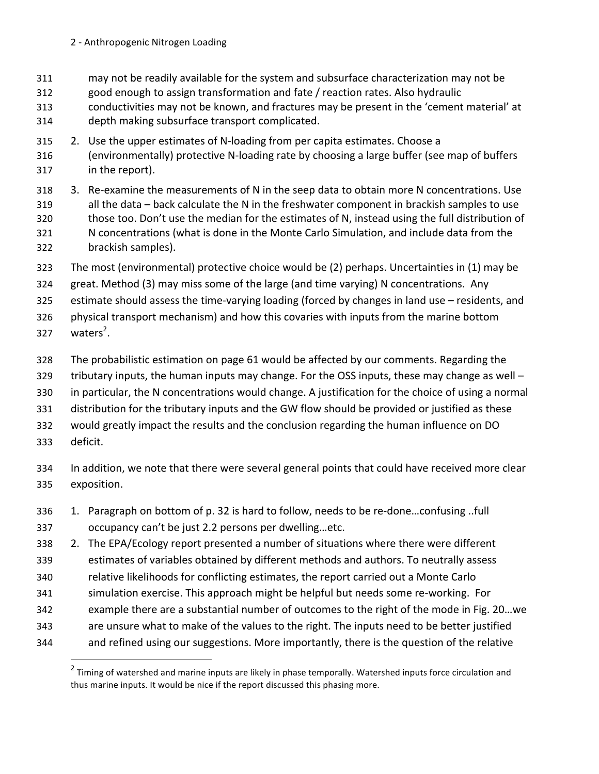- 311 may not be readily available for the system and subsurface characterization may not be
- 312 good enough to assign transformation and fate / reaction rates. Also hydraulic
- 313 conductivities may not be known, and fractures may be present in the 'cement material' at 314 depth making subsurface transport complicated.
- 315 2. Use the upper estimates of N-loading from per capita estimates. Choose a 316 (environmentally) protective N-loading rate by choosing a large buffer (see map of buffers 317 in the report).
- 318 3. Re-examine the measurements of N in the seep data to obtain more N concentrations. Use 319 all the data – back calculate the N in the freshwater component in brackish samples to use 320 those too. Don't use the median for the estimates of N, instead using the full distribution of 321 N concentrations (what is done in the Monte Carlo Simulation, and include data from the 322 brackish samples).
- 323 The most (environmental) protective choice would be (2) perhaps. Uncertainties in (1) may be
- 324 great. Method (3) may miss some of the large (and time varying) N concentrations. Any
- 325 estimate should assess the time-varying loading (forced by changes in land use residents, and
- 326 physical transport mechanism) and how this covaries with inputs from the marine bottom
- 327  $waters<sup>2</sup>$ .
- 328 The probabilistic estimation on page 61 would be affected by our comments. Regarding the
- 329 tributary inputs, the human inputs may change. For the OSS inputs, these may change as well –
- 330 in particular, the N concentrations would change. A justification for the choice of using a normal
- 331 distribution for the tributary inputs and the GW flow should be provided or justified as these
- 332 would greatly impact the results and the conclusion regarding the human influence on DO
- 333 deficit.

!!!!!!!!!!!!!!!!!!!!!!!!!!!!!!!!!!!!!!!!!!!!!!!!!!!!!!!!!!!!

- 334 In addition, we note that there were several general points that could have received more clear 335 exposition.
- 336 1. Paragraph on bottom of p. 32 is hard to follow, needs to be re-done...confusing ..full 337 occupancy can't be just 2.2 persons per dwelling...etc.
- 338 2. The EPA/Ecology report presented a number of situations where there were different
- 339 estimates of variables obtained by different methods and authors. To neutrally assess
- 340 relative likelihoods for conflicting estimates, the report carried out a Monte Carlo
- 341 simulation exercise. This approach might be helpful but needs some re-working. For
- 342 example there are a substantial number of outcomes to the right of the mode in Fig. 20...we
- 343 are unsure what to make of the values to the right. The inputs need to be better justified
- 344 and refined using our suggestions. More importantly, there is the question of the relative

<sup>&</sup>lt;sup>2</sup> Timing of watershed and marine inputs are likely in phase temporally. Watershed inputs force circulation and thus marine inputs. It would be nice if the report discussed this phasing more.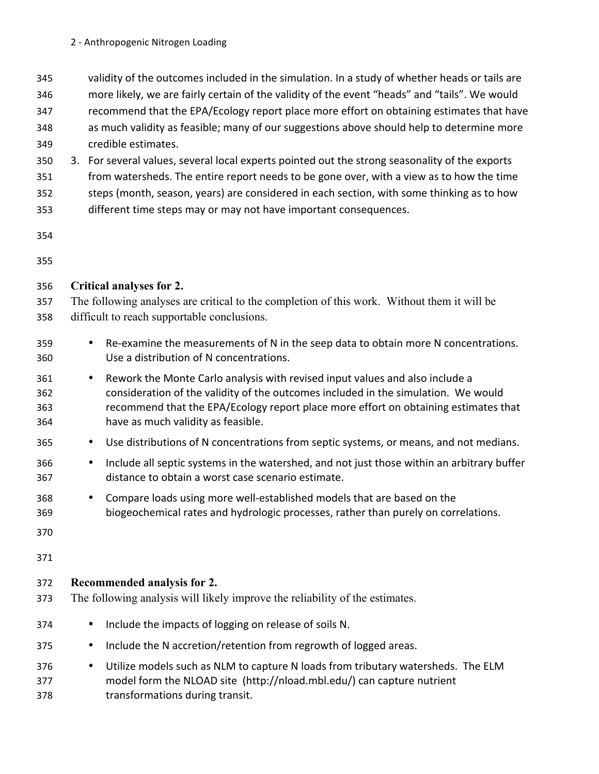- 345 validity of the outcomes included in the simulation. In a study of whether heads or tails are
- 346 more likely, we are fairly certain of the validity of the event "heads" and "tails". We would
- 347 recommend that the EPA/Ecology report place more effort on obtaining estimates that have
- 348 as much validity as feasible; many of our suggestions above should help to determine more 349 credible estimates.
- 350 3. For several values, several local experts pointed out the strong seasonality of the exports
- 351 from watersheds. The entire report needs to be gone over, with a view as to how the time
- 352 steps (month, season, years) are considered in each section, with some thinking as to how
- 353 different time steps may or may not have important consequences.
- 354
- 355

# 356 **Critical analyses for 2.**

- 357 The following analyses are critical to the completion of this work. Without them it will be 358 difficult to reach supportable conclusions.
- 359 Re-examine the measurements of N in the seep data to obtain more N concentrations. 360 Use a distribution of N concentrations.
- 361 Rework the Monte Carlo analysis with revised input values and also include a 362 consideration of the validity of the outcomes included in the simulation. We would 363 recommend that the EPA/Ecology report place more effort on obtaining estimates that 364 have as much validity as feasible.
- 365 Use distributions of N concentrations from septic systems, or means, and not medians.
- 366 Include all septic systems in the watershed, and not just those within an arbitrary buffer 367 distance to obtain a worst case scenario estimate.
- 368 Compare loads using more well-established models that are based on the 369 biogeochemical rates and hydrologic processes, rather than purely on correlations.
- 370

371

# 372 **Recommended analysis for 2.**

- 373 The following analysis will likely improve the reliability of the estimates.
- 374 Include the impacts of logging on release of soils N.
- 375 Include the N accretion/retention from regrowth of logged areas.
- 376 Utilize models such as NLM to capture N loads from tributary watersheds. The ELM 377 model form the NLOAD site (http://nload.mbl.edu/) can capture nutrient 378 transformations during transit.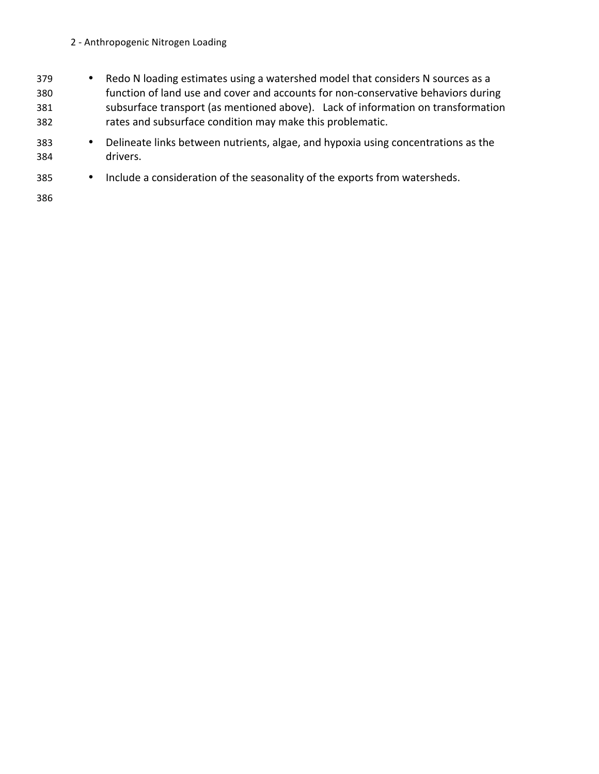#### 2 - Anthropogenic Nitrogen Loading

- 379 Redo N loading estimates using a watershed model that considers N sources as a 380 function of land use and cover and accounts for non-conservative behaviors during 381 subsurface transport (as mentioned above). Lack of information on transformation 382 rates and subsurface condition may make this problematic.
- 383 Delineate links between nutrients, algae, and hypoxia using concentrations as the 384 drivers.!
- 385 Include a consideration of the seasonality of the exports from watersheds.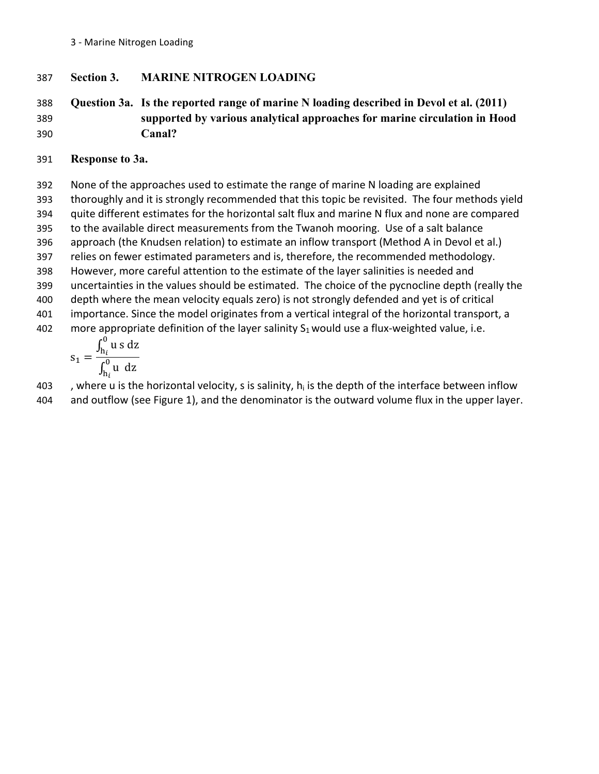387 **Section 3. MARINE NITROGEN LOADING**

# 388 **Question 3a. Is the reported range of marine N loading described in Devol et al. (2011)**  389 **supported by various analytical approaches for marine circulation in Hood**  390 **Canal?**

391 **Response to 3a.**

392 None of the approaches used to estimate the range of marine N loading are explained 393 thoroughly and it is strongly recommended that this topic be revisited. The four methods yield 394 quite different estimates for the horizontal salt flux and marine N flux and none are compared 395 to the available direct measurements from the Twanoh mooring. Use of a salt balance 396 approach (the Knudsen relation) to estimate an inflow transport (Method A in Devol et al.) 397 relies on fewer estimated parameters and is, therefore, the recommended methodology. 398 However, more careful attention to the estimate of the layer salinities is needed and 399 uncertainties in the values should be estimated. The choice of the pycnocline depth (really the 400 depth where the mean velocity equals zero) is not strongly defended and yet is of critical 401 importance. Since the model originates from a vertical integral of the horizontal transport, a 402 more appropriate definition of the layer salinity  $S_1$  would use a flux-weighted value, i.e.

$$
s_1 = \frac{\int_{h_i}^0 u s \, dz}{\int_{h_i}^0 u \, dz}
$$

403  $\blacksquare$ , where u is the horizontal velocity, s is salinity, h<sub>i</sub> is the depth of the interface between inflow 404 and outflow (see Figure 1), and the denominator is the outward volume flux in the upper layer.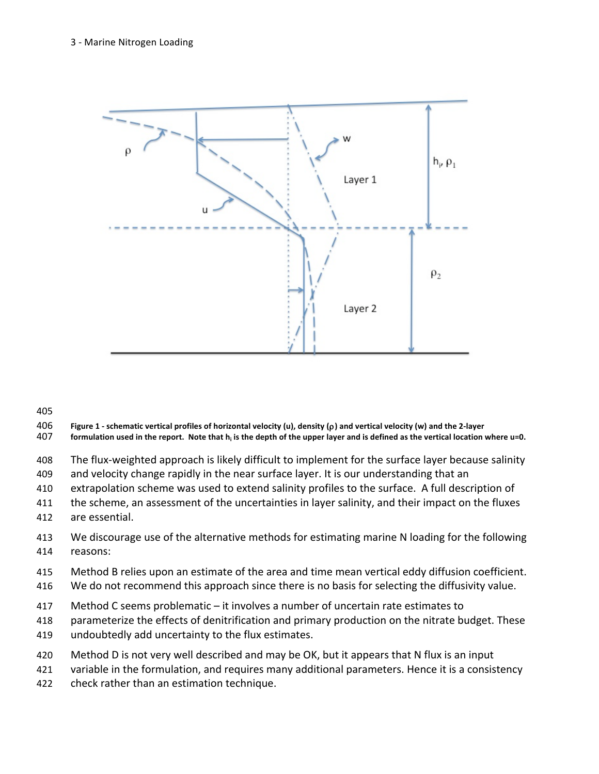

- **406** Figure 1 schematic vertical profiles of horizontal velocity (u), density (ρ) and vertical velocity (w) and the 2-layer<br>407 formulation used in the report. Note that h<sub>i</sub> is the depth of the upper layer and is defi
- formulation used in the report. Note that h<sub>i</sub> is the depth of the upper layer and is defined as the vertical location where u=0.
- 408 The flux-weighted approach is likely difficult to implement for the surface layer because salinity
- 409 and velocity change rapidly in the near surface layer. It is our understanding that an
- 410 extrapolation scheme was used to extend salinity profiles to the surface. A full description of
- 411 the scheme, an assessment of the uncertainties in layer salinity, and their impact on the fluxes
- 412 are essential.
- 413 We discourage use of the alternative methods for estimating marine N loading for the following 414 reasons:
- 415 Method B relies upon an estimate of the area and time mean vertical eddy diffusion coefficient.
- 416 We do not recommend this approach since there is no basis for selecting the diffusivity value.
- 417 Method C seems problematic it involves a number of uncertain rate estimates to
- 418 parameterize the effects of denitrification and primary production on the nitrate budget. These
- 419 undoubtedly add uncertainty to the flux estimates.
- 420 Method D is not very well described and may be OK, but it appears that N flux is an input
- 421 variable in the formulation, and requires many additional parameters. Hence it is a consistency
- 422 check rather than an estimation technique.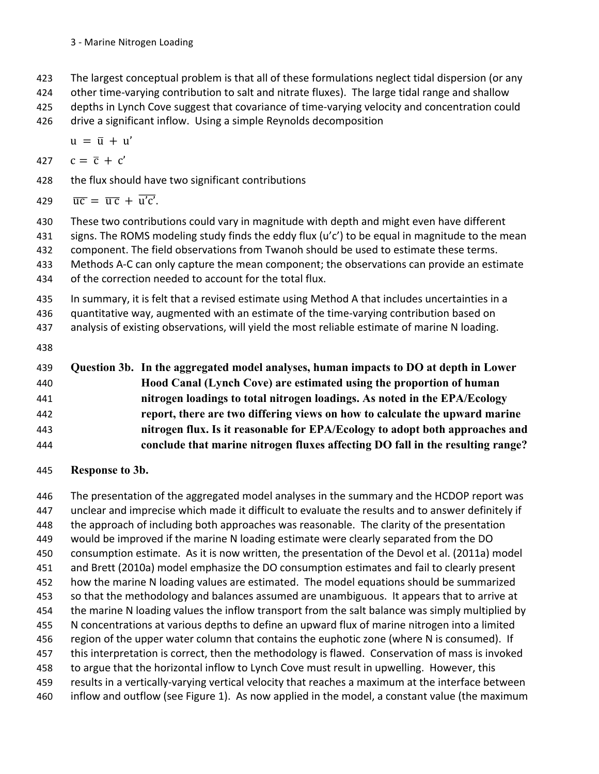#### 3 - Marine Nitrogen Loading

423 The largest conceptual problem is that all of these formulations neglect tidal dispersion (or any

424 other time-varying contribution to salt and nitrate fluxes). The large tidal range and shallow

- 425 depths in Lynch Cove suggest that covariance of time-varying velocity and concentration could
- 426 drive a significant inflow. Using a simple Reynolds decomposition

 $u = \overline{u} + u'$ 

$$
427 \quad c = \overline{c} + c'
$$

428 the flux should have two significant contributions

$$
429 \quad \overline{uc} = \overline{uc} + \overline{u'c'}
$$

430 These two contributions could vary in magnitude with depth and might even have different

431 signs. The ROMS modeling study finds the eddy flux (u'c') to be equal in magnitude to the mean

- 432 component. The field observations from Twanoh should be used to estimate these terms.
- 433 Methods A-C can only capture the mean component; the observations can provide an estimate
- 434 of the correction needed to account for the total flux.
- 435 In summary, it is felt that a revised estimate using Method A that includes uncertainties in a
- 436 guantitative way, augmented with an estimate of the time-varying contribution based on
- 437 analysis of existing observations, will yield the most reliable estimate of marine N loading.
- 438

| 439 | Question 3b. In the aggregated model analyses, human impacts to DO at depth in Lower |
|-----|--------------------------------------------------------------------------------------|
| 440 | Hood Canal (Lynch Cove) are estimated using the proportion of human                  |
| 441 | nitrogen loadings to total nitrogen loadings. As noted in the EPA/Ecology            |
| 442 | report, there are two differing views on how to calculate the upward marine          |
| 443 | nitrogen flux. Is it reasonable for EPA/Ecology to adopt both approaches and         |
| 444 | conclude that marine nitrogen fluxes affecting DO fall in the resulting range?       |

445 **Response to 3b.**

446 The presentation of the aggregated model analyses in the summary and the HCDOP report was 447 unclear and imprecise which made it difficult to evaluate the results and to answer definitely if 448 the approach of including both approaches was reasonable. The clarity of the presentation 449 would be improved if the marine N loading estimate were clearly separated from the DO 450 consumption estimate. As it is now written, the presentation of the Devol et al. (2011a) model 451 and Brett (2010a) model emphasize the DO consumption estimates and fail to clearly present 452 how the marine N loading values are estimated. The model equations should be summarized 453 so that the methodology and balances assumed are unambiguous. It appears that to arrive at 454 the marine N loading values the inflow transport from the salt balance was simply multiplied by 455 N concentrations at various depths to define an upward flux of marine nitrogen into a limited 456 region of the upper water column that contains the euphotic zone (where N is consumed). If 457 this interpretation is correct, then the methodology is flawed. Conservation of mass is invoked 458 to argue that the horizontal inflow to Lynch Cove must result in upwelling. However, this 459 results in a vertically-varying vertical velocity that reaches a maximum at the interface between 460 inflow and outflow (see Figure 1). As now applied in the model, a constant value (the maximum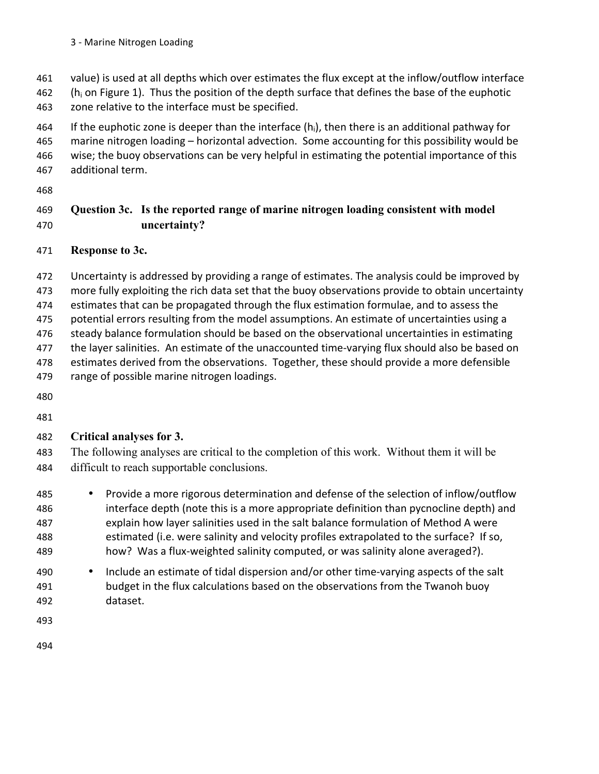- 461 value) is used at all depths which over estimates the flux except at the inflow/outflow interface
- 462 (h<sub>i</sub> on Figure 1). Thus the position of the depth surface that defines the base of the euphotic 463 zone relative to the interface must be specified.
- 464 If the euphotic zone is deeper than the interface  $(h_i)$ , then there is an additional pathway for 465 marine nitrogen loading – horizontal advection. Some accounting for this possibility would be 466 wise; the buoy observations can be very helpful in estimating the potential importance of this 467 additional term.
- 468

# 469 **Question 3c. Is the reported range of marine nitrogen loading consistent with model**  470 **uncertainty?**

# 471 **Response to 3c.**

472 Uncertainty is addressed by providing a range of estimates. The analysis could be improved by

473 more fully exploiting the rich data set that the buoy observations provide to obtain uncertainty

474 estimates that can be propagated through the flux estimation formulae, and to assess the

475 potential errors resulting from the model assumptions. An estimate of uncertainties using a

476 steady balance formulation should be based on the observational uncertainties in estimating

- 477 the layer salinities. An estimate of the unaccounted time-varying flux should also be based on
- 478 estimates derived from the observations. Together, these should provide a more defensible 479 range of possible marine nitrogen loadings.
- 480
- 481

# 482 **Critical analyses for 3.**

483 The following analyses are critical to the completion of this work. Without them it will be 484 difficult to reach supportable conclusions.

- 485 Provide a more rigorous determination and defense of the selection of inflow/outflow 486 interface depth (note this is a more appropriate definition than pycnocline depth) and 487 explain how layer salinities used in the salt balance formulation of Method A were 488 estimated (i.e. were salinity and velocity profiles extrapolated to the surface? If so, 489 how? Was a flux-weighted salinity computed, or was salinity alone averaged?).
- 490 Include an estimate of tidal dispersion and/or other time-varying aspects of the salt 491 budget in the flux calculations based on the observations from the Twanoh buoy 492 dataset.
- 493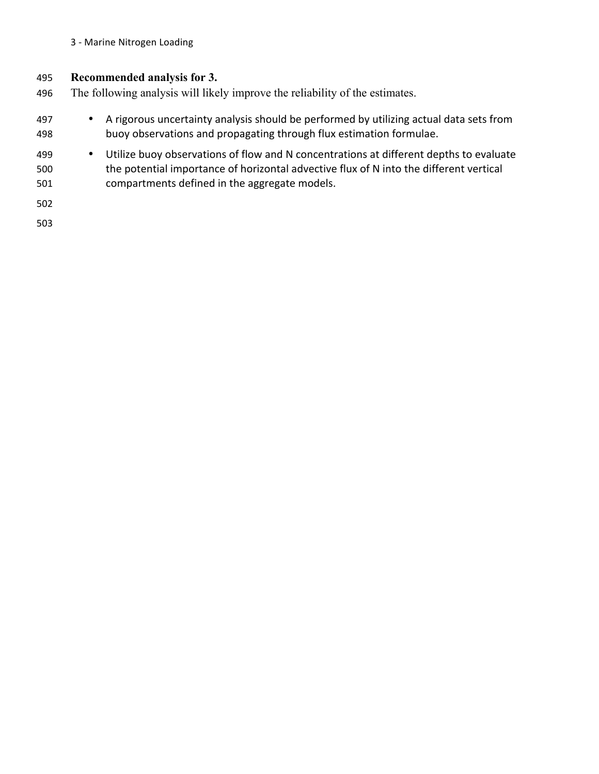#### 3 - Marine Nitrogen Loading

#### 495 **Recommended analysis for 3.**

- 496 The following analysis will likely improve the reliability of the estimates.
- 497 A rigorous uncertainty analysis should be performed by utilizing actual data sets from 498 buoy observations and propagating through flux estimation formulae.
- 499 Utilize buoy observations of flow and N concentrations at different depths to evaluate 500 the potential importance of horizontal advective flux of N into the different vertical 501 compartments defined in the aggregate models.

502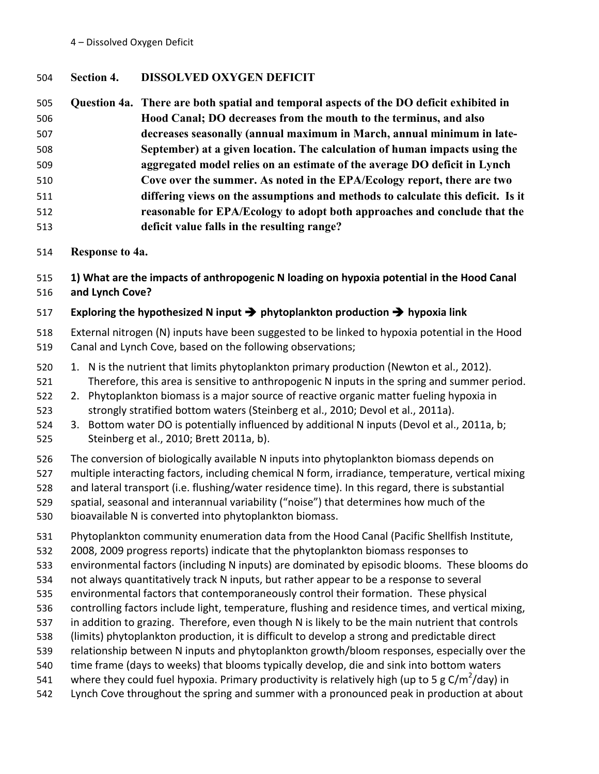#### 4 - Dissolved Oxygen Deficit

# 504 **Section 4. DISSOLVED OXYGEN DEFICIT**

| 505 | Question 4a. There are both spatial and temporal aspects of the DO deficit exhibited in |
|-----|-----------------------------------------------------------------------------------------|
| 506 | Hood Canal; DO decreases from the mouth to the terminus, and also                       |
| 507 | decreases seasonally (annual maximum in March, annual minimum in late-                  |
| 508 | September) at a given location. The calculation of human impacts using the              |
| 509 | aggregated model relies on an estimate of the average DO deficit in Lynch               |
| 510 | Cove over the summer. As noted in the EPA/Ecology report, there are two                 |
| 511 | differing views on the assumptions and methods to calculate this deficit. Is it         |
| 512 | reasonable for EPA/Ecology to adopt both approaches and conclude that the               |
| 513 | deficit value falls in the resulting range?                                             |

# 514 **Response to 4a.**

515 **1)'What'are'the'impacts'of'anthropogenic'N'loading'on'hypoxia'potential'in'the'Hood'Canal'** 516 **and'Lynch'Cove?**

# 517 **Exploring'the'hypothesized'N'input'**" **phytoplankton'production'**" **hypoxia'link**

518 External nitrogen (N) inputs have been suggested to be linked to hypoxia potential in the Hood 519 Canal and Lynch Cove, based on the following observations;

- 520 1. N is the nutrient that limits phytoplankton primary production (Newton et al., 2012). 521 Therefore, this area is sensitive to anthropogenic N inputs in the spring and summer period.
- 522 2. Phytoplankton biomass is a major source of reactive organic matter fueling hypoxia in 523 strongly stratified bottom waters (Steinberg et al., 2010; Devol et al., 2011a).
- 524 3. Bottom water DO is potentially influenced by additional N inputs (Devol et al., 2011a, b; 525 Steinberg et al., 2010; Brett 2011a, b).
- 526 The conversion of biologically available N inputs into phytoplankton biomass depends on
- 527 multiple interacting factors, including chemical N form, irradiance, temperature, vertical mixing
- 528 and lateral transport (i.e. flushing/water residence time). In this regard, there is substantial
- 529 spatial, seasonal and interannual variability ("noise") that determines how much of the
- 530 bioavailable N is converted into phytoplankton biomass.
- 531 Phytoplankton community enumeration data from the Hood Canal (Pacific Shellfish Institute,
- 532 2008, 2009 progress reports) indicate that the phytoplankton biomass responses to
- 533 environmental factors (including N inputs) are dominated by episodic blooms. These blooms do
- 534 not always quantitatively track N inputs, but rather appear to be a response to several
- 535 environmental factors that contemporaneously control their formation. These physical
- 536 controlling factors include light, temperature, flushing and residence times, and vertical mixing,
- 537 in addition to grazing. Therefore, even though N is likely to be the main nutrient that controls
- 538 (limits) phytoplankton production, it is difficult to develop a strong and predictable direct
- 539 relationship between N inputs and phytoplankton growth/bloom responses, especially over the
- 540 time frame (days to weeks) that blooms typically develop, die and sink into bottom waters
- 541 where they could fuel hypoxia. Primary productivity is relatively high (up to 5 g C/m<sup>2</sup>/day) in
- 542 Lynch Cove throughout the spring and summer with a pronounced peak in production at about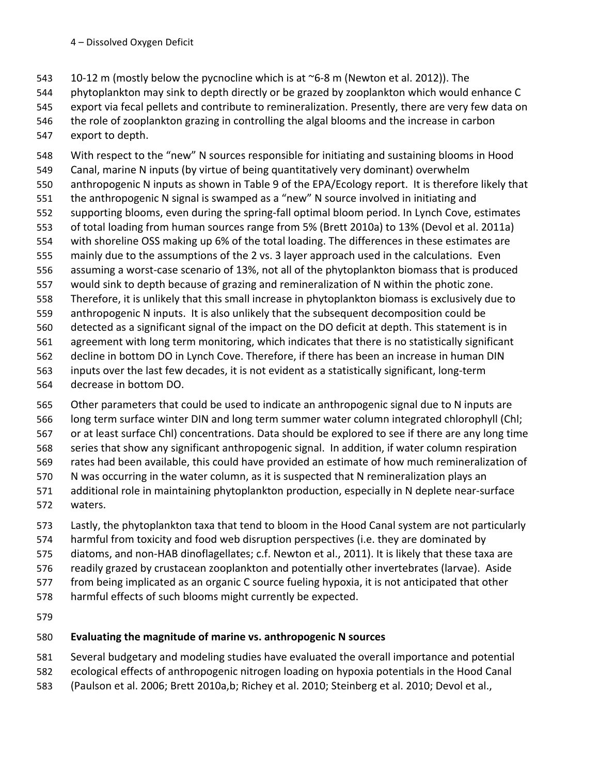543 10-12 m (mostly below the pycnocline which is at ~6-8 m (Newton et al. 2012)). The

544 phytoplankton may sink to depth directly or be grazed by zooplankton which would enhance C

- 545 export via fecal pellets and contribute to remineralization. Presently, there are very few data on
- 546 the role of zooplankton grazing in controlling the algal blooms and the increase in carbon
- 547 export to depth.

548 With respect to the "new" N sources responsible for initiating and sustaining blooms in Hood 549 Canal, marine N inputs (by virtue of being quantitatively very dominant) overwhelm 550 anthropogenic N inputs as shown in Table 9 of the EPA/Ecology report. It is therefore likely that 551 the anthropogenic N signal is swamped as a "new" N source involved in initiating and 552 supporting blooms, even during the spring-fall optimal bloom period. In Lynch Cove, estimates 553 of total loading from human sources range from 5% (Brett 2010a) to 13% (Devol et al. 2011a) 554 with shoreline OSS making up 6% of the total loading. The differences in these estimates are 555 mainly due to the assumptions of the 2 vs. 3 layer approach used in the calculations. Even 556 assuming a worst-case scenario of 13%, not all of the phytoplankton biomass that is produced 557 would sink to depth because of grazing and remineralization of N within the photic zone. 558 Therefore, it is unlikely that this small increase in phytoplankton biomass is exclusively due to 559 anthropogenic N inputs. It is also unlikely that the subsequent decomposition could be 560 detected as a significant signal of the impact on the DO deficit at depth. This statement is in 561 agreement with long term monitoring, which indicates that there is no statistically significant 562 decline in bottom DO in Lynch Cove. Therefore, if there has been an increase in human DIN 563 inputs over the last few decades, it is not evident as a statistically significant, long-term 564 decrease in bottom DO.

- 565 Other parameters that could be used to indicate an anthropogenic signal due to N inputs are 566 long term surface winter DIN and long term summer water column integrated chlorophyll (Chl; 567 or at least surface Chl) concentrations. Data should be explored to see if there are any long time 568 series that show any significant anthropogenic signal. In addition, if water column respiration 569 rates had been available, this could have provided an estimate of how much remineralization of 570 N was occurring in the water column, as it is suspected that N remineralization plays an 571 additional role in maintaining phytoplankton production, especially in N deplete near-surface 572 waters.
- 573 Lastly, the phytoplankton taxa that tend to bloom in the Hood Canal system are not particularly
- 574 harmful from toxicity and food web disruption perspectives (i.e. they are dominated by
- 575 diatoms, and non-HAB dinoflagellates; c.f. Newton et al., 2011). It is likely that these taxa are
- 576 readily grazed by crustacean zooplankton and potentially other invertebrates (larvae). Aside
- 577 from being implicated as an organic C source fueling hypoxia, it is not anticipated that other
- 578 harmful effects of such blooms might currently be expected.
- 579

# 580 Evaluating the magnitude of marine vs. anthropogenic N sources

- 581 Several budgetary and modeling studies have evaluated the overall importance and potential
- 582 ecological effects of anthropogenic nitrogen loading on hypoxia potentials in the Hood Canal
- 583 (Paulson et al. 2006; Brett 2010a,b; Richey et al. 2010; Steinberg et al. 2010; Devol et al.,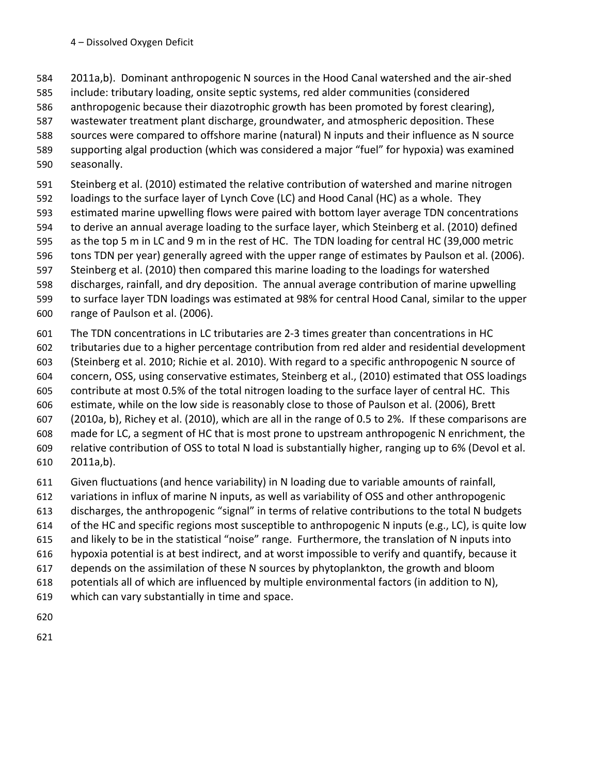- 584 2011a,b). Dominant anthropogenic N sources in the Hood Canal watershed and the air-shed
- 585 include: tributary loading, onsite septic systems, red alder communities (considered
- 586 anthropogenic because their diazotrophic growth has been promoted by forest clearing),
- 587 wastewater treatment plant discharge, groundwater, and atmospheric deposition. These
- 588 sources were compared to offshore marine (natural) N inputs and their influence as N source
- 589 supporting algal production (which was considered a major "fuel" for hypoxia) was examined
- 590 seasonally.
- 591 Steinberg et al. (2010) estimated the relative contribution of watershed and marine nitrogen
- 592 loadings to the surface layer of Lynch Cove (LC) and Hood Canal (HC) as a whole. They
- 593 estimated marine upwelling flows were paired with bottom layer average TDN concentrations
- 594 to derive an annual average loading to the surface layer, which Steinberg et al. (2010) defined
- 595 as the top 5 m in LC and 9 m in the rest of HC. The TDN loading for central HC (39,000 metric
- 596 tons TDN per year) generally agreed with the upper range of estimates by Paulson et al. (2006).
- 597 Steinberg et al. (2010) then compared this marine loading to the loadings for watershed
- 598 discharges, rainfall, and dry deposition. The annual average contribution of marine upwelling
- 599 to surface layer TDN loadings was estimated at 98% for central Hood Canal, similar to the upper 600 range of Paulson et al. (2006).
- 601 The TDN concentrations in LC tributaries are 2-3 times greater than concentrations in HC
- 602 tributaries due to a higher percentage contribution from red alder and residential development
- 603 (Steinberg et al. 2010; Richie et al. 2010). With regard to a specific anthropogenic N source of
- 604 concern, OSS, using conservative estimates, Steinberg et al., (2010) estimated that OSS loadings
- 605 contribute at most 0.5% of the total nitrogen loading to the surface layer of central HC. This
- 606 estimate, while on the low side is reasonably close to those of Paulson et al. (2006), Brett
- 607 (2010a, b), Richey et al. (2010), which are all in the range of 0.5 to 2%. If these comparisons are 608 made for LC, a segment of HC that is most prone to upstream anthropogenic N enrichment, the
- 609 relative contribution of OSS to total N load is substantially higher, ranging up to 6% (Devol et al.
- 610 2011a,b).
- 611 Given fluctuations (and hence variability) in N loading due to variable amounts of rainfall,
- 612 variations in influx of marine N inputs, as well as variability of OSS and other anthropogenic
- 613 discharges, the anthropogenic "signal" in terms of relative contributions to the total N budgets
- 614 of the HC and specific regions most susceptible to anthropogenic N inputs (e.g., LC), is quite low
- 615 and likely to be in the statistical "noise" range. Furthermore, the translation of N inputs into
- 616 hypoxia potential is at best indirect, and at worst impossible to verify and quantify, because it
- 617 depends on the assimilation of these N sources by phytoplankton, the growth and bloom
- 618 potentials all of which are influenced by multiple environmental factors (in addition to N),
- 619 which can vary substantially in time and space.
- 620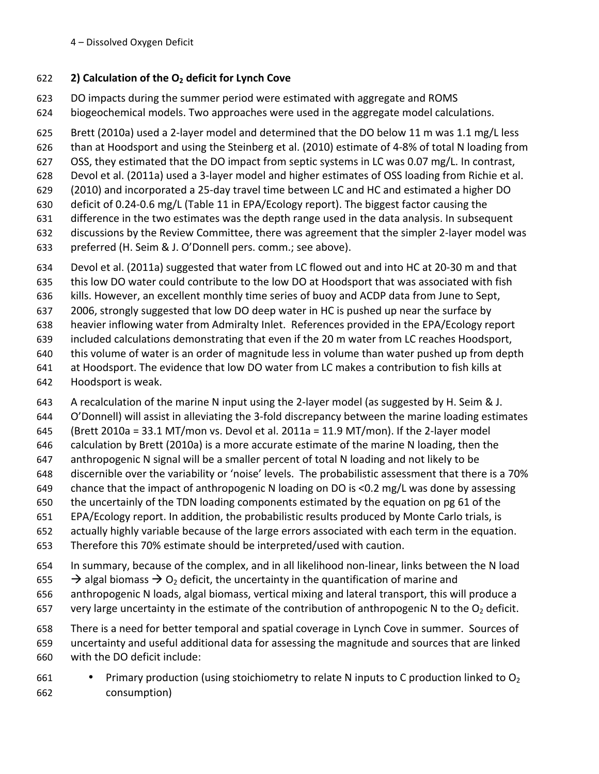# 622 **2)'Calculation'of'the'O2 deficit'for'Lynch'Cove**

- 623 DO impacts during the summer period were estimated with aggregate and ROMS
- 624 biogeochemical models. Two approaches were used in the aggregate model calculations.
- 625 Brett (2010a) used a 2-layer model and determined that the DO below 11 m was 1.1 mg/L less
- 626 than at Hoodsport and using the Steinberg et al. (2010) estimate of 4-8% of total N loading from
- 627 OSS, they estimated that the DO impact from septic systems in LC was 0.07 mg/L. In contrast,
- 628 Devol et al. (2011a) used a 3-layer model and higher estimates of OSS loading from Richie et al.
- 629 (2010) and incorporated a 25-day travel time between LC and HC and estimated a higher DO
- 630 deficit of 0.24-0.6 mg/L (Table 11 in EPA/Ecology report). The biggest factor causing the
- 631 difference in the two estimates was the depth range used in the data analysis. In subsequent 632 discussions by the Review Committee, there was agreement that the simpler 2-layer model was
- 633 preferred (H. Seim & J. O'Donnell pers. comm.; see above).
- 634 Devol et al. (2011a) suggested that water from LC flowed out and into HC at 20-30 m and that
- 635 this low DO water could contribute to the low DO at Hoodsport that was associated with fish
- 636 kills. However, an excellent monthly time series of buoy and ACDP data from June to Sept,
- 637 2006, strongly suggested that low DO deep water in HC is pushed up near the surface by
- 638 heavier inflowing water from Admiralty Inlet. References provided in the EPA/Ecology report
- 639 included calculations demonstrating that even if the 20 m water from LC reaches Hoodsport,
- 640 this volume of water is an order of magnitude less in volume than water pushed up from depth
- 641 at Hoodsport. The evidence that low DO water from LC makes a contribution to fish kills at
- 642 Hoodsport is weak.
- 643 A recalculation of the marine N input using the 2-layer model (as suggested by H. Seim & J.
- 644 O'Donnell) will assist in alleviating the 3-fold discrepancy between the marine loading estimates
- 645 (Brett 2010a = 33.1 MT/mon vs. Devol et al. 2011a = 11.9 MT/mon). If the 2-layer model
- 646 calculation by Brett (2010a) is a more accurate estimate of the marine N loading, then the
- 647 anthropogenic N signal will be a smaller percent of total N loading and not likely to be
- 648 discernible over the variability or 'noise' levels. The probabilistic assessment that there is a 70%
- 649 chance that the impact of anthropogenic N loading on DO is <0.2 mg/L was done by assessing
- 650 the uncertainly of the TDN loading components estimated by the equation on pg 61 of the
- 651 EPA/Ecology report. In addition, the probabilistic results produced by Monte Carlo trials, is
- 652 actually highly variable because of the large errors associated with each term in the equation.
- 653 Therefore this 70% estimate should be interpreted/used with caution.
- 654 In summary, because of the complex, and in all likelihood non-linear, links between the N load
- 655  $\rightarrow$  algal biomass  $\rightarrow$  O<sub>2</sub> deficit, the uncertainty in the quantification of marine and
- 656 anthropogenic N loads, algal biomass, vertical mixing and lateral transport, this will produce a
- 657 very large uncertainty in the estimate of the contribution of anthropogenic N to the  $O<sub>2</sub>$  deficit.
- 658 There is a need for better temporal and spatial coverage in Lynch Cove in summer. Sources of 659 uncertainty and useful additional data for assessing the magnitude and sources that are linked 660 with the DO deficit include:
- 661 Primary production (using stoichiometry to relate N inputs to C production linked to  $O<sub>2</sub>$ 662 consumption)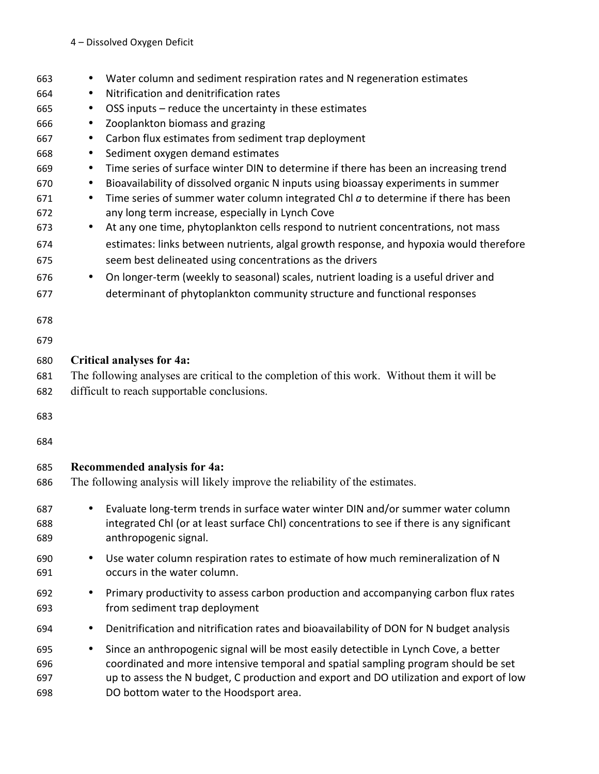| 663               | Water column and sediment respiration rates and N regeneration estimates<br>٠                                                                                                                                                                                                      |  |  |  |  |  |
|-------------------|------------------------------------------------------------------------------------------------------------------------------------------------------------------------------------------------------------------------------------------------------------------------------------|--|--|--|--|--|
| 664               | Nitrification and denitrification rates<br>$\bullet$                                                                                                                                                                                                                               |  |  |  |  |  |
| 665               | OSS inputs - reduce the uncertainty in these estimates<br>$\bullet$                                                                                                                                                                                                                |  |  |  |  |  |
| 666               | Zooplankton biomass and grazing<br>$\bullet$                                                                                                                                                                                                                                       |  |  |  |  |  |
| 667               | Carbon flux estimates from sediment trap deployment<br>$\bullet$                                                                                                                                                                                                                   |  |  |  |  |  |
| 668               | Sediment oxygen demand estimates<br>$\bullet$                                                                                                                                                                                                                                      |  |  |  |  |  |
| 669               | Time series of surface winter DIN to determine if there has been an increasing trend<br>$\bullet$                                                                                                                                                                                  |  |  |  |  |  |
| 670               | Bioavailability of dissolved organic N inputs using bioassay experiments in summer<br>$\bullet$                                                                                                                                                                                    |  |  |  |  |  |
| 671               | Time series of summer water column integrated ChI $a$ to determine if there has been<br>$\bullet$                                                                                                                                                                                  |  |  |  |  |  |
| 672               | any long term increase, especially in Lynch Cove                                                                                                                                                                                                                                   |  |  |  |  |  |
| 673               | At any one time, phytoplankton cells respond to nutrient concentrations, not mass<br>٠                                                                                                                                                                                             |  |  |  |  |  |
| 674<br>675        | estimates: links between nutrients, algal growth response, and hypoxia would therefore<br>seem best delineated using concentrations as the drivers                                                                                                                                 |  |  |  |  |  |
| 676               | On longer-term (weekly to seasonal) scales, nutrient loading is a useful driver and<br>$\bullet$                                                                                                                                                                                   |  |  |  |  |  |
| 677               | determinant of phytoplankton community structure and functional responses                                                                                                                                                                                                          |  |  |  |  |  |
| 678               |                                                                                                                                                                                                                                                                                    |  |  |  |  |  |
| 679               |                                                                                                                                                                                                                                                                                    |  |  |  |  |  |
| 680               | <b>Critical analyses for 4a:</b>                                                                                                                                                                                                                                                   |  |  |  |  |  |
| 681               | The following analyses are critical to the completion of this work. Without them it will be                                                                                                                                                                                        |  |  |  |  |  |
| 682               | difficult to reach supportable conclusions.                                                                                                                                                                                                                                        |  |  |  |  |  |
|                   |                                                                                                                                                                                                                                                                                    |  |  |  |  |  |
| 683               |                                                                                                                                                                                                                                                                                    |  |  |  |  |  |
| 684               |                                                                                                                                                                                                                                                                                    |  |  |  |  |  |
| 685               | Recommended analysis for 4a:                                                                                                                                                                                                                                                       |  |  |  |  |  |
| 686               | The following analysis will likely improve the reliability of the estimates.                                                                                                                                                                                                       |  |  |  |  |  |
| 687               | Evaluate long-term trends in surface water winter DIN and/or summer water column                                                                                                                                                                                                   |  |  |  |  |  |
| 688               | integrated ChI (or at least surface ChI) concentrations to see if there is any significant                                                                                                                                                                                         |  |  |  |  |  |
| 689               | anthropogenic signal.                                                                                                                                                                                                                                                              |  |  |  |  |  |
| 690               | Use water column respiration rates to estimate of how much remineralization of N<br>$\bullet$                                                                                                                                                                                      |  |  |  |  |  |
| 691               | occurs in the water column.                                                                                                                                                                                                                                                        |  |  |  |  |  |
| 692               | Primary productivity to assess carbon production and accompanying carbon flux rates<br>$\bullet$                                                                                                                                                                                   |  |  |  |  |  |
| 693               | from sediment trap deployment                                                                                                                                                                                                                                                      |  |  |  |  |  |
| 694               | Denitrification and nitrification rates and bioavailability of DON for N budget analysis<br>$\bullet$                                                                                                                                                                              |  |  |  |  |  |
| 695<br>696<br>697 | Since an anthropogenic signal will be most easily detectible in Lynch Cove, a better<br>$\bullet$<br>coordinated and more intensive temporal and spatial sampling program should be set<br>up to assess the N budget, C production and export and DO utilization and export of low |  |  |  |  |  |
| 698               | DO bottom water to the Hoodsport area.                                                                                                                                                                                                                                             |  |  |  |  |  |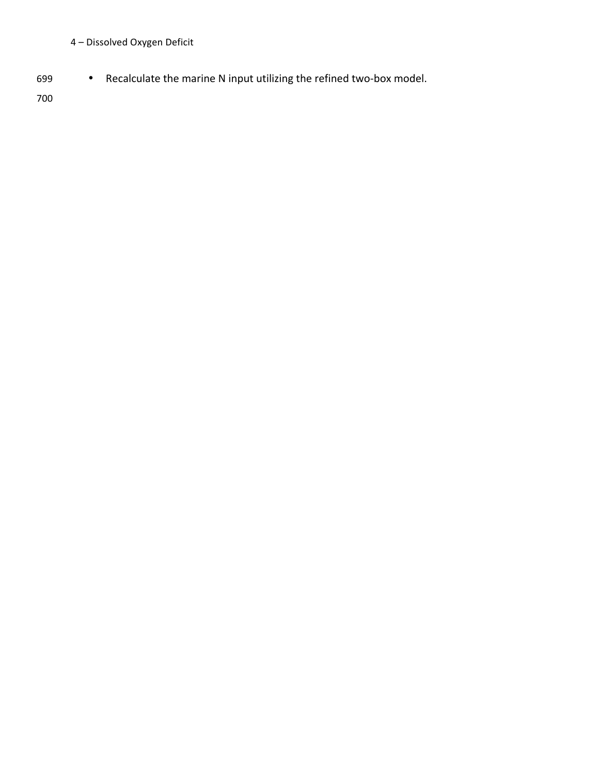# 4 – Dissolved Oxygen Deficit

699 • Recalculate the marine N input utilizing the refined two-box model.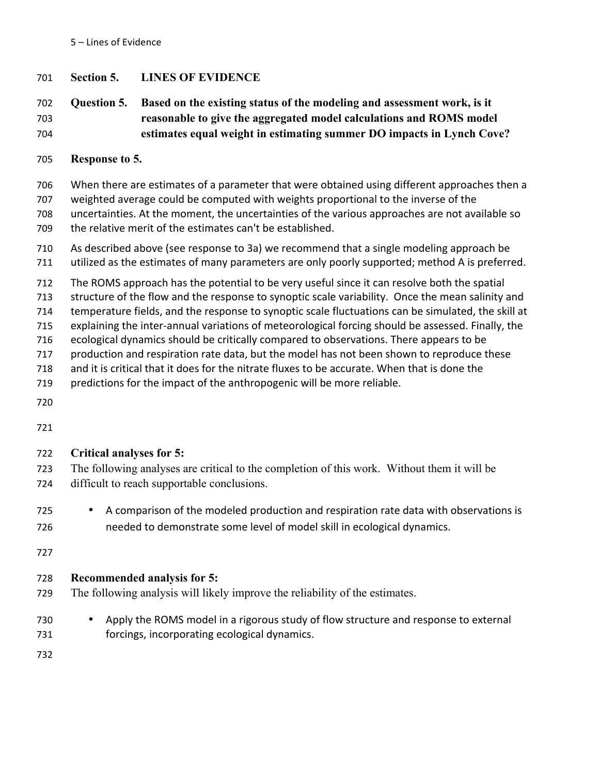5 – Lines of Evidence

### 701 **Section 5. LINES OF EVIDENCE**

# 702 **Question 5. Based on the existing status of the modeling and assessment work, is it**  703 **reasonable to give the aggregated model calculations and ROMS model**  704 **estimates equal weight in estimating summer DO impacts in Lynch Cove?**

705 **Response to 5.**

706 When there are estimates of a parameter that were obtained using different approaches then a 707 weighted average could be computed with weights proportional to the inverse of the 708 uncertainties. At the moment, the uncertainties of the various approaches are not available so 709 the relative merit of the estimates can't be established.

- 710 As described above (see response to 3a) we recommend that a single modeling approach be
- 711 utilized as the estimates of many parameters are only poorly supported; method A is preferred.
- 712 The ROMS approach has the potential to be very useful since it can resolve both the spatial
- 713 structure of the flow and the response to synoptic scale variability. Once the mean salinity and

714 temperature fields, and the response to synoptic scale fluctuations can be simulated, the skill at

- 715 explaining the inter-annual variations of meteorological forcing should be assessed. Finally, the
- 716 ecological dynamics should be critically compared to observations. There appears to be
- 717 production and respiration rate data, but the model has not been shown to reproduce these
- 718 and it is critical that it does for the nitrate fluxes to be accurate. When that is done the
- 719 predictions for the impact of the anthropogenic will be more reliable.
- 720

721

# 722 **Critical analyses for 5:**

- 723 The following analyses are critical to the completion of this work. Without them it will be 724 difficult to reach supportable conclusions.
- 725 A comparison of the modeled production and respiration rate data with observations is 726 needed to demonstrate some level of model skill in ecological dynamics.

727

# 728 **Recommended analysis for 5:**

- 729 The following analysis will likely improve the reliability of the estimates.
- 730 Apply the ROMS model in a rigorous study of flow structure and response to external 731 forcings, incorporating ecological dynamics.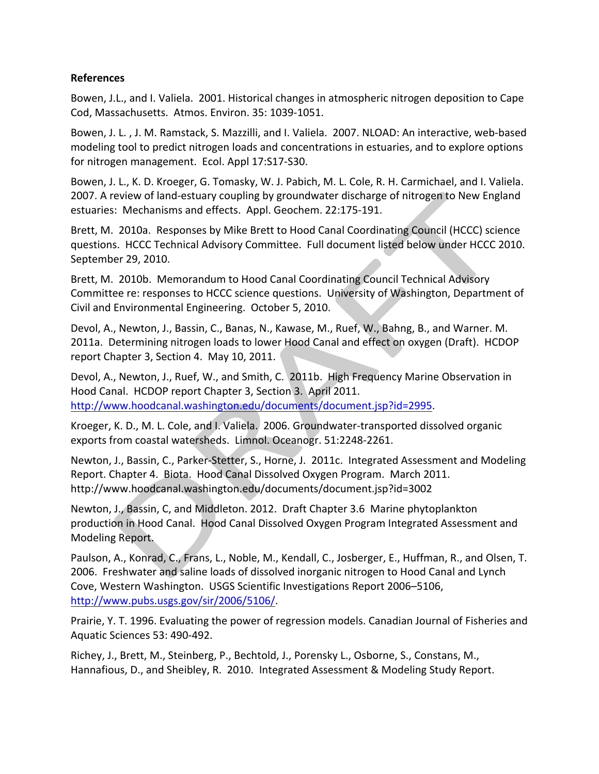#### **References**

Bowen, J.L., and I. Valiela. 2001. Historical changes in atmospheric nitrogen deposition to Cape Cod, Massachusetts. Atmos. Environ. 35: 1039-1051.

Bowen, J. L., J. M. Ramstack, S. Mazzilli, and I. Valiela. 2007. NLOAD: An interactive, web-based modeling tool to predict nitrogen loads and concentrations in estuaries, and to explore options for nitrogen management. Ecol. Appl 17:S17-S30.

Bowen, J. L., K. D. Kroeger, G. Tomasky, W. J. Pabich, M. L. Cole, R. H. Carmichael, and I. Valiela. 2007. A review of land-estuary coupling by groundwater discharge of nitrogen to New England estuaries: Mechanisms and effects. Appl. Geochem. 22:175-191.

Brett, M. 2010a. Responses by Mike Brett to Hood Canal Coordinating Council (HCCC) science questions. HCCC Technical Advisory Committee. Full document listed below under HCCC 2010. September 29, 2010.

Brett, M. 2010b. Memorandum to Hood Canal Coordinating Council Technical Advisory Committee re: responses to HCCC science questions. University of Washington, Department of Civil and Environmental Engineering. October 5, 2010.

Devol, A., Newton, J., Bassin, C., Banas, N., Kawase, M., Ruef, W., Bahng, B., and Warner. M. 2011a. Determining nitrogen loads to lower Hood Canal and effect on oxygen (Draft). HCDOP report Chapter 3, Section 4. May 10, 2011.

Devol, A., Newton, J., Ruef, W., and Smith, C. 2011b. High Frequency Marine Observation in Hood Canal. HCDOP report Chapter 3, Section 3. April 2011. http://www.hoodcanal.washington.edu/documents/document.jsp?id=2995.

Kroeger, K. D., M. L. Cole, and I. Valiela. 2006. Groundwater-transported dissolved organic exports from coastal watersheds. Limnol. Oceanogr. 51:2248-2261.

Newton, J., Bassin, C., Parker-Stetter, S., Horne, J. 2011c. Integrated Assessment and Modeling Report. Chapter 4. Biota. Hood Canal Dissolved Oxygen Program. March 2011. http://www.hoodcanal.washington.edu/documents/document.jsp?id=3002

Newton, J., Bassin, C, and Middleton. 2012. Draft Chapter 3.6 Marine phytoplankton production in Hood Canal. Hood Canal Dissolved Oxygen Program Integrated Assessment and Modeling Report.

Paulson, A., Konrad, C., Frans, L., Noble, M., Kendall, C., Josberger, E., Huffman, R., and Olsen, T. 2006. Freshwater and saline loads of dissolved inorganic nitrogen to Hood Canal and Lynch Cove, Western Washington. USGS Scientific Investigations Report 2006–5106, http://www.pubs.usgs.gov/sir/2006/5106/.

Prairie, Y. T. 1996. Evaluating the power of regression models. Canadian Journal of Fisheries and Aquatic Sciences 53: 490-492.

Richey, J., Brett, M., Steinberg, P., Bechtold, J., Porensky L., Osborne, S., Constans, M., Hannafious, D., and Sheibley, R. 2010. Integrated Assessment & Modeling Study Report.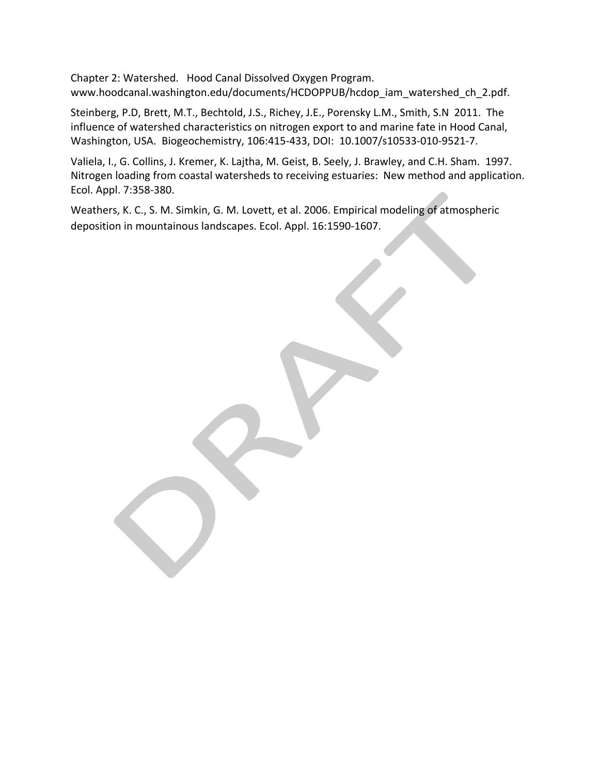Chapter 2: Watershed. Hood Canal Dissolved Oxygen Program. www.hoodcanal.washington.edu/documents/HCDOPPUB/hcdop\_iam\_watershed\_ch\_2.pdf.

Steinberg, P.D, Brett, M.T., Bechtold, J.S., Richey, J.E., Porensky L.M., Smith, S.N 2011. The influence of watershed characteristics on nitrogen export to and marine fate in Hood Canal, Washington, USA. Biogeochemistry, 106:415-433, DOI: 10.1007/s10533-010-9521-7.

Valiela, I., G. Collins, J. Kremer, K. Lajtha, M. Geist, B. Seely, J. Brawley, and C.H. Sham. 1997. Nitrogen loading from coastal watersheds to receiving estuaries: New method and application. Ecol. Appl. 7:358-380.

Weathers, K. C., S. M. Simkin, G. M. Lovett, et al. 2006. Empirical modeling of atmospheric deposition in mountainous landscapes. Ecol. Appl. 16:1590-1607.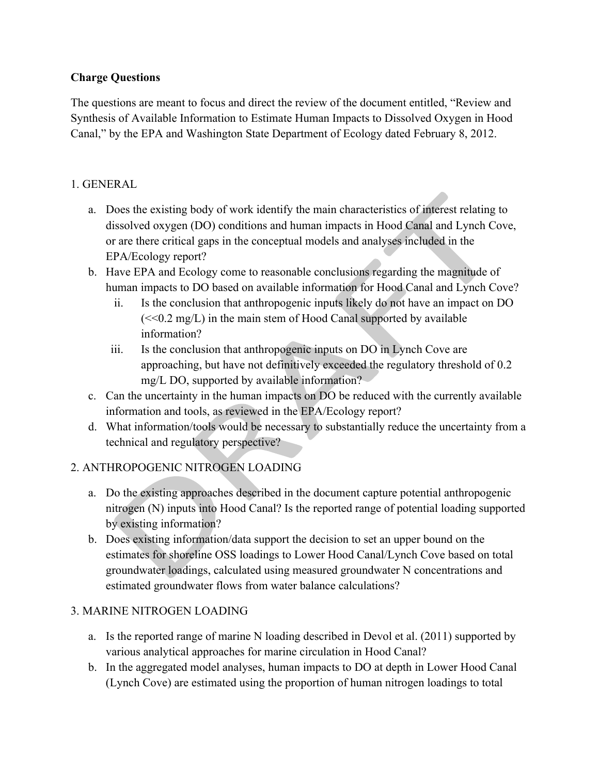# **Charge Questions**

The questions are meant to focus and direct the review of the document entitled, "Review and Synthesis of Available Information to Estimate Human Impacts to Dissolved Oxygen in Hood Canal," by the EPA and Washington State Department of Ecology dated February 8, 2012.

# 1. GENERAL

- a. Does the existing body of work identify the main characteristics of interest relating to dissolved oxygen (DO) conditions and human impacts in Hood Canal and Lynch Cove, or are there critical gaps in the conceptual models and analyses included in the EPA/Ecology report?
- b. Have EPA and Ecology come to reasonable conclusions regarding the magnitude of human impacts to DO based on available information for Hood Canal and Lynch Cove?
	- ii. Is the conclusion that anthropogenic inputs likely do not have an impact on DO  $\ll 0.2$  mg/L) in the main stem of Hood Canal supported by available information?
	- iii. Is the conclusion that anthropogenic inputs on DO in Lynch Cove are approaching, but have not definitively exceeded the regulatory threshold of 0.2 mg/L DO, supported by available information?
- c. Can the uncertainty in the human impacts on DO be reduced with the currently available information and tools, as reviewed in the EPA/Ecology report?
- d. What information/tools would be necessary to substantially reduce the uncertainty from a technical and regulatory perspective?

# 2. ANTHROPOGENIC NITROGEN LOADING

- a. Do the existing approaches described in the document capture potential anthropogenic nitrogen (N) inputs into Hood Canal? Is the reported range of potential loading supported by existing information?
- b. Does existing information/data support the decision to set an upper bound on the estimates for shoreline OSS loadings to Lower Hood Canal/Lynch Cove based on total groundwater loadings, calculated using measured groundwater N concentrations and estimated groundwater flows from water balance calculations?

# 3. MARINE NITROGEN LOADING

- a. Is the reported range of marine N loading described in Devol et al. (2011) supported by various analytical approaches for marine circulation in Hood Canal?
- b. In the aggregated model analyses, human impacts to DO at depth in Lower Hood Canal (Lynch Cove) are estimated using the proportion of human nitrogen loadings to total